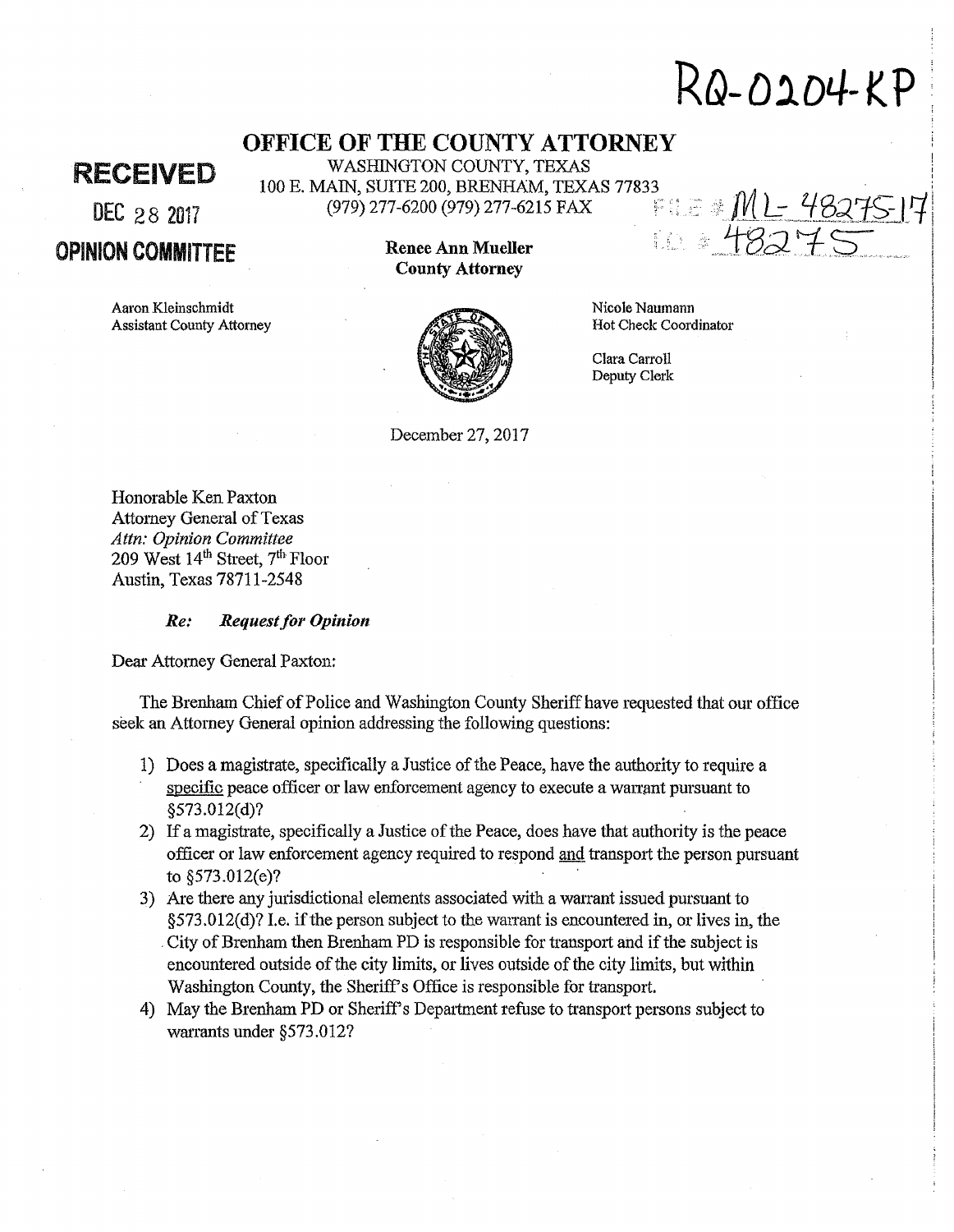# **RQ-01D4-KP**

# **OFFICE OF THE COUNTY ATTORNEY**  WASHINGTON COUNTY, TEXAS

RECEIVED

DEC 28 2017

OPINION COMMITTEE

Aaron Kleinschmidt Assistant County Attorney **Renee Ann Mueller County Attorney** 

(979) 277-6200 (979) 277-6215 FAX



Nicole Naumann Hot Check Coordinator

Clara Carroll Deputy Clerk

December 27, 2017

Honorable Ken Paxton Attomey General of Texas *Attn: Opinion Committee*  209 West 14th Street, 7th Floor Austin, Texas 78711-2548

### *Re: Request for Opinion*

Dear Attorney General Paxton:

The Brenham Chief of Police and Washington County Sheriff have requested that our office seek an Attorney General opinion addressing the following questions:

- 1) Does a magistrate, specifically a Justice of the Peace, have the authority to require a specific peace officer or law enforcement agency to execute a warrant pursuant to §573.012(d)?
- 2) If a magistrate, specifically a Justice of the Peace, does have that authority is the peace officer or law enforcement agency required to respond and transport the person pursuant to §573.012(e)?
- 3) Are there any jurisdictional elements associated with a warrant issued pursuant to  $\S 573.012(d)$ ? I.e. if the person subject to the warrant is encountered in, or lives in, the . City of Brenham then Brenham PD is responsible for transport and if the subject is encountered outside of the city limits, or lives outside of the city limits, but within Washington County, the Sheriff's Office is responsible for transport.
- 4) May the Brenham PD or Sheriff's Department refuse to transport persons subject to warrants under §573.012?

100 E. MAIN, SUITE 200, BRENHAM, TEXAS 77833<br>(979) 277-6200 (979) 277-6215 FAX = = = = ML - 48275 | 7 10 . 48279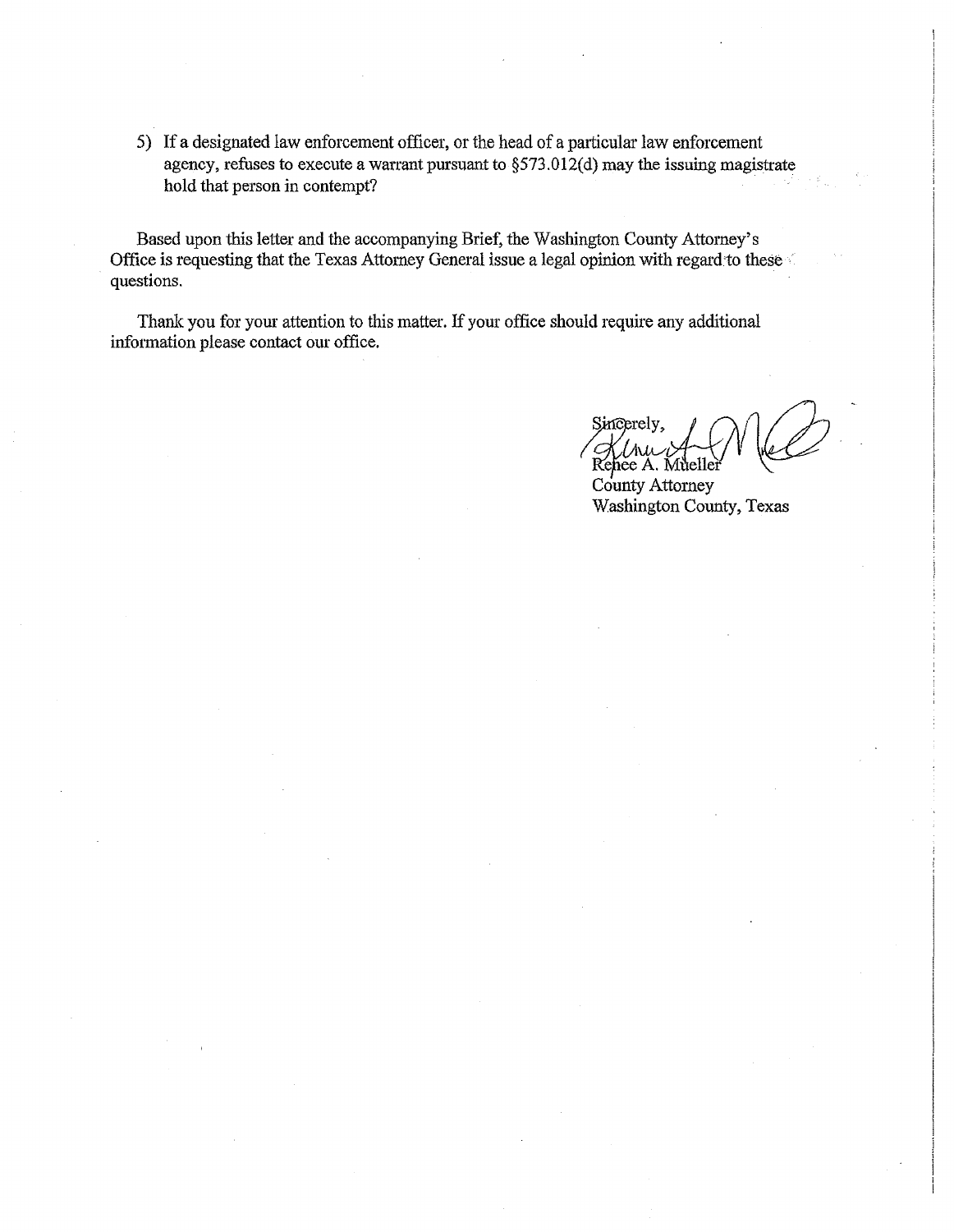5) If a designated law enforcement officer, or the head of a particular law enforcement agency, refuses to execute a warrant pursuant to  $\S 573.012(d)$  may the issuing magistrate hold that person in contempt?

Based upon this letter and the accompanying Brief, the Washington County Attorney's Office is requesting that the Texas Attorney General issue a legal opinion with regard to these questions.

Thank you for your attention to this matter. If your office should require any additional information please contact our office.

Kenee A.

County Attorney Washington County, Texas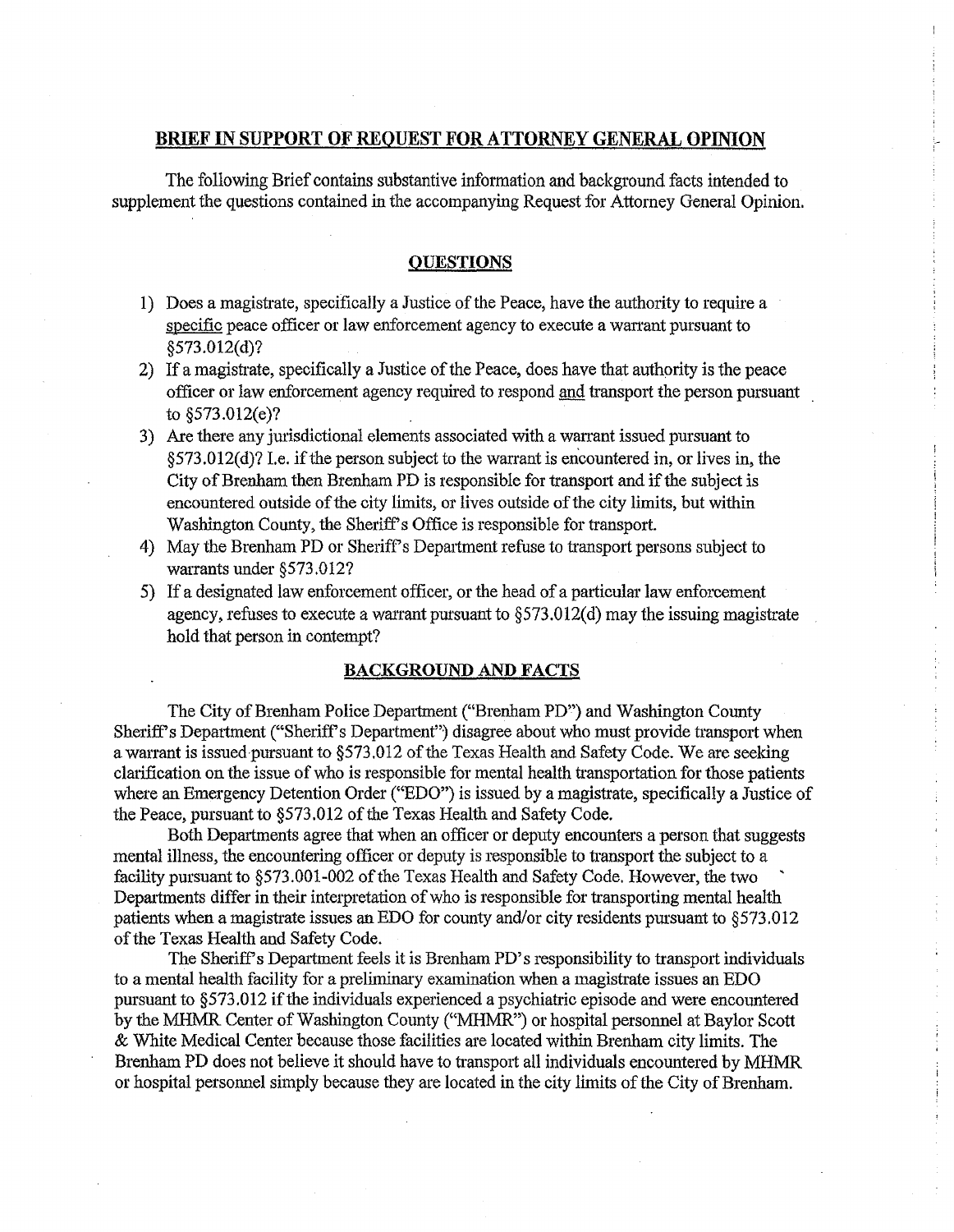# **BRIEF** IN **SUPPORT OF REQUEST FOR ATTORNEY GENERAL OPINION**

The following Brief contains substantive information and background facts intended to supplement the questions contained in the accompanying Request for Attorney General Opinion.

## **QUESTIONS**

- 1) Does a magistrate, specifically a Justice of the Peace, have the authority to require a specific peace officer or law enforcement agency to execute a warrant pursuant to §573.012(d)?
- 2) If a magistrate, specifically a Justice of the Peace, does have that authority is the peace officer or law enforcement agency required to respond and transport the person pursuant to §573.012(e)?
- 3) Are there any jurisdictional elements associated with a warrant issued pursuant to §573.012(d)? I.e. if the person subject to the wanant is encountered in, or lives in, the City of Brenham then Brenham PD is responsible for transport and if the subject is encountered outside of the city limits, or lives outside of the city limits, but within Washington County, the Sheriff's Office is responsible for transport.
- 4) May the Brenham PD or Sheriff's Department refuse to transport persons subject to warrants under §573.0127
- 5) If a designated law enforcement officer, or the head of a particular law enforcement agency, refuses to execute a warrant pursuant to  $\S 573.012(d)$  may the issuing magistrate hold that person in contempt?

# **BACKGROUND AND FACTS**

The City of Brenham Police Department ("Brenham PD") and Washington County Sheriff's Department ("Sheriff's Department") disagree about who must provide transport when a warrant is issued-pursuant to  $\S573.012$  of the Texas Health and Safety Code. We are seeking clarification on the issue of who is responsible for mental health transportation for those patients where an Emergency Detention Order ("EDO") is issued by a magistrate, specifically a Justice of the Peace, pursuant to §573.012 of the Texas Health and Safety Code.

Both Departments agree that when an officer or deputy encounters a person that suggests mental illness, the encountering officer or deputy is responsible to transport the subject to a facility pursuant to §573.001-002 of the Texas Health and Safety Code. However, the two Departments differ in their interpretation of who is responsible for transporting mental health patients when a magistrate issues an EDO for county and/or city residents pursuant to  $\S 573.012$ of the Texas Health and Safety Code.

The Sheriff's Department feels it is Brenham PD's responsibility to transport individuals to a mental health facility for a preliminary examination when a magistrate issues an EDO pursuant to §573.012 if the individuals experienced a psychiatric episode and were encountered by the MHMR Center of Washington County ("MHMR") or hospital personnel at Baylor Scott & White Medical Center because those facilities are located within Brenham city limits. The Brenham PD does not believe it should have to transport all individuals encountered by MHMR or hospital personnel simply because they are located in the city limits of the City of Brenham.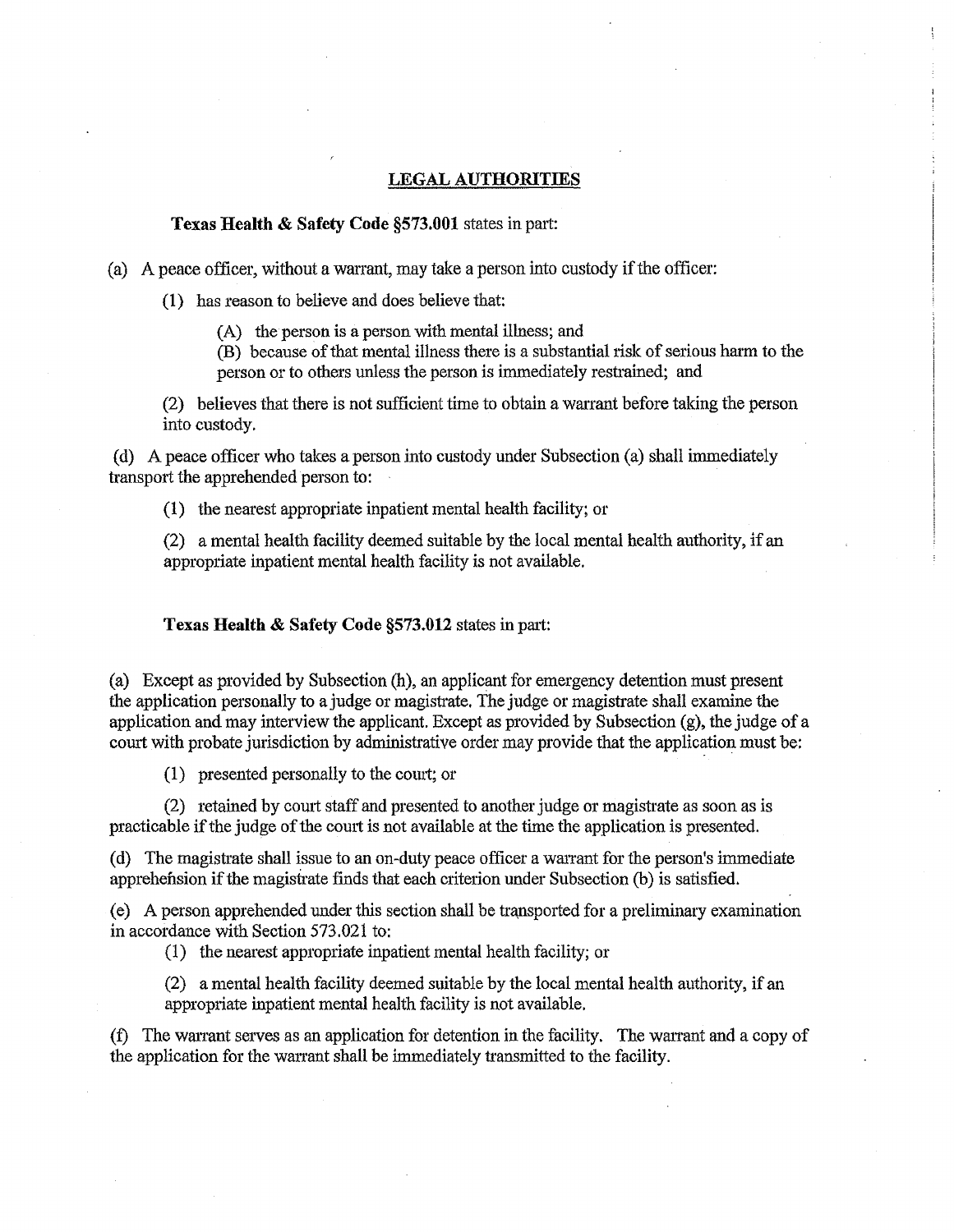## **LEGAL AUTHORITIES**

# **Texas Health** & **Safety Code §573.001** states in part:

(a) A peace officer, without a warrant, may take a person into custody if the officer:

(1) has reason to believe and does believe that:

 $(A)$  the person is a person with mental illness; and

(B) because of that mental illness there is a substantial risk of serious harm to the person or to others unless the person is immediately restrained; and

(2) believes that there is not sufficient time to obtain a warrant before taking the person into custody.

(d) A peace officer who takes a person into custody under Subsection (a) shall immediately transport the apprehended person to:

(1) the nearest appropriate inpatient mental health facility; or

(2) a mental health facility deemed suitable by the local mental health authority, if an appropriate inpatient mental health facility is not available.

**Texas Health & Safety Code §573.012 states in part:** 

(a) Except as provided by Subsection (h), an applicant for emergency detention must present the application personally to a judge or magistrate. The judge or magistrate shall examine the application and may interview the applicant. Except as provided by Subsection  $(g)$ , the judge of a court with probate jurisdiction by administrative order may provide that the application must be:

(1) presented personally to the comt; or

 $(2)$  retained by court staff and presented to another judge or magistrate as soon as is practicable if the judge of the court is not available at the time the application is presented.

(d) The magistrate shall issue to an on-duty peace officer a warrant for the person's immediate apprehension if the magistrate finds that each criterion under Subsection (b) is satisfied.

 $(e)$  A person apprehended under this section shall be transported for a preliminary examination in accordance with Section 573.021 to:

( 1) the nearest appropriate inpatient mental health facility; or

(2) a mental health facility deemed suitable by the local mental health authority, if an appropriate inpatient mental health facility is not available.

(f) The warrant serves as an application for detention in the facility. The warrant and a copy of the application for the warrant shall be immediately transmitted to the facility.